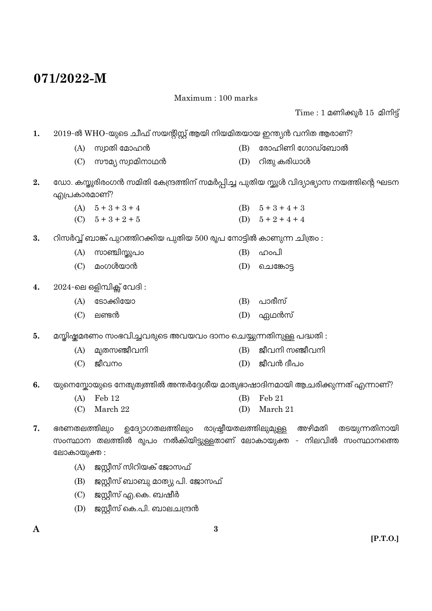## 071/2022-M

Maximum: 100 marks

 $Time: 1$  മണിക്കൂർ  $15$  മിനിട്ട്

| 1. | 2019-ൽ WHO-യുടെ ചീഫ് സയന്റിസ്റ്റ് ആയി നിയമിതയായ ഇന്ത്യൻ വനിത ആരാണ്? |                                                                               |     |                                                                                       |  |
|----|---------------------------------------------------------------------|-------------------------------------------------------------------------------|-----|---------------------------------------------------------------------------------------|--|
|    | (A)                                                                 | സ്വാതി മോഹൻ                                                                   | (B) | രോഹിണി ഗോഡ്ബോൽ                                                                        |  |
|    | (C)                                                                 | സൗമ്യ സ്വാമിനാഥൻ                                                              | (D) | റിതു കരിധാൾ                                                                           |  |
| 2. | എപ്രകാരമാണ്?                                                        |                                                                               |     | ഡോ. കസ്തൂരിരംഗൻ സമിതി കേന്ദ്രത്തിന് സമർപ്പിച്ച പുതിയ സ്കൂൾ വിദ്യാഭ്യാസ നയത്തിന്റെ ഘടന |  |
|    |                                                                     | (A) $5+3+3+4$                                                                 |     | (B) $5+3+4+3$                                                                         |  |
|    |                                                                     | (C) $5+3+2+5$                                                                 |     | (D) $5+2+4+4$                                                                         |  |
| 3. |                                                                     | റിസർവ്വ് ബാങ്ക് പുറത്തിറക്കിയ പുതിയ 500 രൂപ നോട്ടിൽ കാണുന്ന ചിത്രം :          |     |                                                                                       |  |
|    | (A)                                                                 | സാഞ്ചിസ്തൂപം                                                                  | (B) | ഹാപി                                                                                  |  |
|    | (C)                                                                 | മംഗൾയാൻ                                                                       | (D) | ചെങ്കോട്ട                                                                             |  |
| 4. |                                                                     | $2024$ -ലെ ഒളിമ്പിക്സ് വേദി:                                                  |     |                                                                                       |  |
|    | (A)                                                                 | ടോക്കിയോ                                                                      | (B) | പാരീസ്                                                                                |  |
|    | (C)                                                                 | ലണ്ടൻ                                                                         | (D) | ഏഥൻസ്                                                                                 |  |
| 5. |                                                                     | മസ്തിഷ്കമരണം സംഭവിച്ചവരുടെ അവയവം ദാനം ചെയ്യുന്നതിനുള്ള പദ്ധതി :               |     |                                                                                       |  |
|    | (A)                                                                 | മ്യതസഞ്ജീവനി                                                                  | (B) | ജീവനി സഞ്ജീവനി                                                                        |  |
|    | (C)                                                                 | ജീവനം                                                                         | (D) | ജീവൻ ദീപം                                                                             |  |
| 6. |                                                                     | യുനെസ്കോയുടെ നേതൃത്വത്തിൽ അന്തർദ്ദേശീയ മാതൃഭാഷാദിനമായി ആചരിക്കുന്നത് എന്നാണ്? |     |                                                                                       |  |
|    | (A)                                                                 | Feb 12                                                                        | (B) | Feb 21                                                                                |  |
|    | (C)                                                                 | March 22                                                                      | (D) | March 21                                                                              |  |
| 7. | ഭരണതലത്തിലും                                                        | ഉദ്യോഗതലത്തിലും                                                               |     | രാഷ്ട്രീയതലത്തിലുമുള്ള അഴിമതി<br>തടയുന്നതിനായി                                        |  |
|    |                                                                     |                                                                               |     | സംസ്ഥാന തലത്തിൽ രൂപം നൽകിയിട്ടുള്ളതാണ് ലോകായുക്ത - നിലവിൽ സംസ്ഥാനത്തെ                 |  |
|    | ലോകായുക്ത :                                                         |                                                                               |     |                                                                                       |  |
|    | (A)                                                                 | ജസ്റ്റീസ് സിറിയക് ജോസഫ്                                                       |     |                                                                                       |  |
|    | (B)                                                                 | ജസ്റ്റീസ് ബാബു മാത്യു പി. ജോസഫ്                                               |     |                                                                                       |  |
|    | (C)                                                                 | ജസ്റ്റീസ് എ.കെ. ബഷീർ                                                          |     |                                                                                       |  |
|    | (D)                                                                 | ജസ്റ്റീസ് കെ.പി. ബാലചന്ദ്രൻ                                                   |     |                                                                                       |  |

 $\mathbf{A}$ 

 $\bf{3}$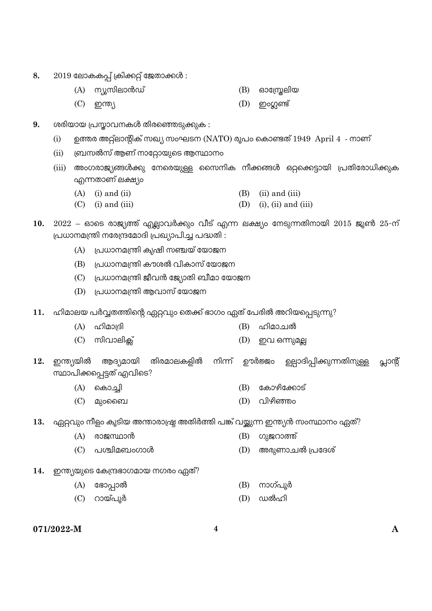- 8.  $2019$  ലോകകപ്പ് ക്രിക്കറ്റ് ജേതാക്കൾ:
	- (A) ന്യൂസിലാൻഡ്  $(B)$  ഓസ്രേലിയ
	- $(D)$  ഇംഗ്ലണ്ട്  $(C)$  ഇന്ത്യ
- ശരിയായ പ്രസ്കാവനകൾ തിരഞ്ഞെടുക്കുക : 9.
	- ഉത്തര അറ്റ്ലാന്റിക് സഖ്യ സംഘടന (NATO) രൂപം കൊണ്ടത്  $1949$  April  $4$  നാണ്  $(i)$
	- ബ്രസൽസ് ആണ് നാറ്റോയുടെ ആസ്ഥാനം  $(ii)$
	- അംഗരാജ്യങ്ങൾക്കു നേരെയുള്ള സൈനിക നീക്കങ്ങൾ ഒറ്റക്കെട്ടായി പ്രതിരോധിക്കുക  $(iii)$ എന്നതാണ് ലക്ഷ്യം
		- $(A)$  (i) and (ii) (B)  $(ii)$  and  $(iii)$
		- $(C)$  (i) and (iii) (D) (i), (ii) and (iii)
- $10.$   $2022 6$ ാടെ രാജ്യത്ത് എല്ലാവർക്കും വീട് എന്ന ലക്ഷ്യം നേടുന്നതിനായി  $2015$  ജൂൺ  $25-\overline{m}$ പ്രധാനമന്ത്രി നരേന്ദ്രമോദി പ്രഖ്യാപിച്ച പദ്ധതി :
	- $(A)$  പ്രധാനമന്ത്രി കൃഷി സഞ്ചയ് യോജന
	- (B) പ്രധാനമന്ത്രി കൗശൽ വികാസ് യോജന
	- (C) പ്രധാനമന്ത്രി ജീവൻ ജ്യോതി ബീമാ യോജന
	- (D) പ്രധാനമന്ത്രി ആവാസ് യോജന
- 11. ഹിമാലയ പർവ്വതത്തിന്റെ ഏറ്റവും തെക്ക് ഭാഗം ഏത് പേരിൽ അറിയപ്പെടുന്നു?
	- $(A)$  ഹിമാദ്രി (B) ഹിമാചൽ
	- $(C)$  സിവാലിക്  $(D)$  ഇവ ഒന്നുമല്ല
- ഇന്ത്യയിൽ ആദ്യമായി തിരമാലകളിൽ നിന്ന് ഊർജ്ജം ഉല്പാദിപ്പിക്കുന്നതിനുള്ള 12. പ്ലാന്റ് സ്ഥാപിക്കപ്പെട്ടത് എവിടെ?
	- $(A)$  കൊച്ചി (B) കോഴിക്കോട്
	- $(D)$  വിഴിഞ്ഞം  $(C)$  മുറബൈ
- 13. ഏറ്റവും നീളം കൂടിയ അന്താരാഷ്ട്ര അതിർത്തി പങ്ക് വയ്ക്കുന്ന ഇന്ത്യൻ സംസ്ഥാനം ഏത്?
	- (A) രാജസ്ഥാൻ (B) ഗുജറാത്ത്
	- (C) പശ്ചിമബംഗാൾ അരുണാചൽ പ്രദേശ് (D)
- 14. ഇന്ത്യയുടെ കേന്ദ്രഭാഗമായ നഗരം ഏത്?
	- (A) ഭോപ്പാൽ (B) നാഗ്പൂർ
	- (C) റായ്പൂർ  $(D)$  ഡൽഹി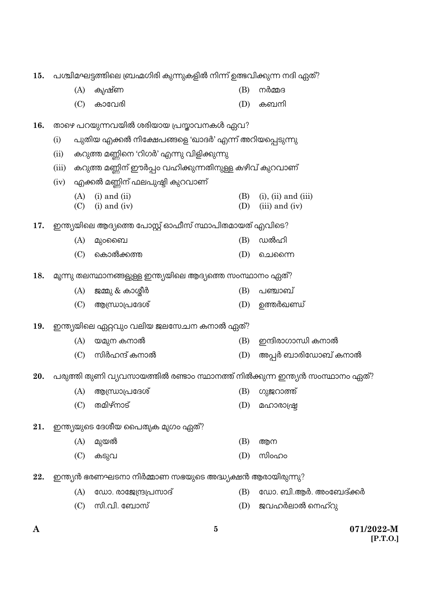| 15. | പശ്ചിമഘട്ടത്തിലെ ബ്രഹ്മഗിരി കുന്നുകളിൽ നിന്ന് ഉത്ഭവിക്കുന്ന നദി ഏത്? |                                                                             |     |                            |  |  |  |
|-----|----------------------------------------------------------------------|-----------------------------------------------------------------------------|-----|----------------------------|--|--|--|
|     | (A)                                                                  | കൃഷ്ണ                                                                       | (B) | നർമ്മദ                     |  |  |  |
|     | (C)                                                                  | കാവേരി                                                                      | (D) | കബനി                       |  |  |  |
| 16. |                                                                      | താഴെ പറയുന്നവയിൽ ശരിയായ പ്രസ്താവനകൾ ഏവ?                                     |     |                            |  |  |  |
|     | (i)                                                                  | പുതിയ എക്കൽ നിക്ഷേപങ്ങളെ 'ഖാദർ' എന്ന് അറിയപ്പെടുന്നു                        |     |                            |  |  |  |
|     | (ii)                                                                 | കറുത്ത മണ്ണിനെ 'റിഗർ' എന്നു വിളിക്കുന്നു                                    |     |                            |  |  |  |
|     | (iii)                                                                | കറുത്ത മണ്ണിന് ഈർപ്പം വഹിക്കുന്നതിനുള്ള കഴിവ് കുറവാണ്                       |     |                            |  |  |  |
|     | (iv)                                                                 | എക്കൽ മണ്ണിന് ഫലപുഷ്ടി കുറവാണ്                                              |     |                            |  |  |  |
|     | (A)                                                                  | $(i)$ and $(ii)$                                                            | (B) | $(i)$ , $(ii)$ and $(iii)$ |  |  |  |
|     | (C)                                                                  | $(i)$ and $(iv)$                                                            | (D) | (iii) and (iv)             |  |  |  |
| 17. |                                                                      | ഇന്ത്യയിലെ ആദ്യത്തെ പോസ്റ്റ് ഓഫീസ് സ്ഥാപിതമായത് എവിടെ?                      |     |                            |  |  |  |
|     | (A)                                                                  | മുംബൈ                                                                       | (B) | ഡൽഹി                       |  |  |  |
|     | (C)                                                                  | കൊൽക്കത്ത                                                                   | (D) | ചെന്നൈ                     |  |  |  |
| 18. |                                                                      | മൂന്നു തലസ്ഥാനങ്ങളുള്ള ഇന്ത്യയിലെ ആദ്യത്തെ സംസ്ഥാനം ഏത്?                    |     |                            |  |  |  |
|     | (A)                                                                  | ജമ്മു & കാശ്മീർ                                                             | (B) | പഞ്ചാബ്                    |  |  |  |
|     | (C)                                                                  | ആന്ധ്രാപ്രദേശ്                                                              | (D) | ഉത്തർഖണ്ഡ്                 |  |  |  |
|     |                                                                      |                                                                             |     |                            |  |  |  |
| 19. |                                                                      | ഇന്ത്യയിലെ ഏറ്റവും വലിയ ജലസേചന കനാൽ ഏത്?                                    |     |                            |  |  |  |
|     | (A)                                                                  | യമുന കനാൽ                                                                   | (B) | ഇന്ദിരാഗാന്ധി കനാൽ         |  |  |  |
|     | (C)                                                                  | സിർഹന്ദ് കനാൽ                                                               | (D) | അപ്പർ ബാരിഡോബ് കനാൽ        |  |  |  |
| 20. |                                                                      | പരുത്തി തുണി വ്യവസായത്തിൽ രണ്ടാം സ്ഥാനത്ത് നിൽക്കുന്ന ഇന്ത്യൻ സംസ്ഥാനം ഏത്? |     |                            |  |  |  |
|     |                                                                      | (A) ആന്ധ്രാപ്രദേശ്                                                          |     | (B) ഗുജറാത്ത്              |  |  |  |
|     | (C)                                                                  | തമിഴ്നാട്                                                                   | (D) | മഹാരാഷ്ട്ര                 |  |  |  |
| 21. |                                                                      | ഇന്ത്യയുടെ ദേശീയ പൈത്യക മൃഗം ഏത്?                                           |     |                            |  |  |  |
|     | (A)                                                                  | മുയൽ                                                                        | (B) | ആന                         |  |  |  |
|     | (C)                                                                  | കടുവ                                                                        | (D) | സിംഹം                      |  |  |  |
| 22. |                                                                      | ഇന്ത്യൻ ഭരണഘടനാ നിർമ്മാണ സഭയുടെ അദ്ധ്യക്ഷൻ ആരായിരുന്നു?                     |     |                            |  |  |  |
|     | (A)                                                                  | ഡോ. രാജേന്ദ്രപ്രസാദ്                                                        | (B) | ഡോ. ബി.ആർ. അംബേദ്ക്കർ      |  |  |  |
|     | (C)                                                                  | സി.വി. ബോസ്                                                                 | (D) | ജവഹർലാൽ നെഹ്റു             |  |  |  |
|     |                                                                      |                                                                             |     |                            |  |  |  |
|     |                                                                      |                                                                             |     |                            |  |  |  |

 $\mathbf{A}$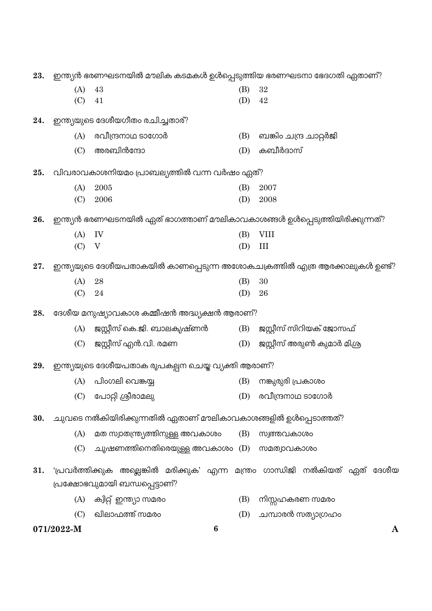|     | 071/2022-M | $\bf{6}$                                                                     |            |                             |
|-----|------------|------------------------------------------------------------------------------|------------|-----------------------------|
|     | (C)        | ഖിലാഫത്ത് സമരം                                                               | (D)        | ചമ്പാരൻ സത്യാഗ്രഹം          |
|     | (A)        | ക്വിറ്റ് ഇന്ത്യാ സമരം                                                        | (B)        | നിസ്സഹകരണ സമരം              |
|     |            | പ്രക്ഷോഭവുമായി ബന്ധപ്പെട്ടാണ്?                                               |            |                             |
| 31. |            | 'പ്രവർത്തിക്കുക അല്ലെങ്കിൽ മരിക്കുക' എന്ന മന്ത്രം ഗാന്ധിജി നൽകിയത് ഏത് ദേശീയ |            |                             |
|     | (C)        | ചൂഷണത്തിനെതിരെയുള്ള അവകാശം (D) സമത്വാവകാശം                                   |            |                             |
|     | (A)        | മത സ്വാതന്ത്ര്യത്തിനുള്ള അവകാശം                                              | (B)        | സ്വത്തവകാശം                 |
| 30. |            | ചുവടെ നൽകിയിരിക്കുന്നതിൽ ഏതാണ് മൗലികാവകാശങ്ങളിൽ ഉൾപ്പെടാത്തത്?               |            |                             |
|     |            |                                                                              |            |                             |
|     |            | (C) പോറ്റി ശ്രീരാമലു                                                         |            | (D) രവീന്ദ്രനാഥ ടാഗോർ       |
|     | (A)        | പിംഗലി വെങ്കയ്യ                                                              | (B)        | നങ്കുരുരി പ്രകാശം           |
| 29. |            | ഇന്ത്യയുടെ ദേശീയപതാക രൂപകല്പന ചെയ്ത വ്യക്തി ആരാണ്?                           |            |                             |
|     | (C)        | ജസ്റ്റീസ് എൻ.വി. രമണ                                                         | (D)        | ജസ്റ്റീസ് അരുൺ കുമാർ മിശ്ര  |
|     | (A)        | ജസ്റ്റീസ് കെ.ജി. ബാലകൃഷ്ണൻ                                                   |            | (B) ജസ്റ്റീസ് സിറിയക് ജോസഫ് |
| 28. |            | ദേശീയ മനുഷ്യാവകാശ കമ്മീഷൻ അദ്ധ്യക്ഷൻ ആരാണ്?                                  |            |                             |
|     |            |                                                                              |            |                             |
|     | (A)<br>(C) | 28<br>24                                                                     | (B)<br>(D) | 30<br>26                    |
| 27. |            | ഇന്ത്യയുടെ ദേശീയപതാകയിൽ കാണപ്പെടുന്ന അശോകചക്രത്തിൽ എത്ര ആരക്കാലുകൾ ഉണ്ട്?    |            |                             |
|     |            |                                                                              |            |                             |
|     | (C)        | V                                                                            | (D)        | III                         |
|     | (A)        | IV                                                                           | (B)        | <b>VIII</b>                 |
| 26. |            | ഇന്ത്യൻ ഭരണഘടനയിൽ ഏത് ഭാഗത്താണ് മൗലികാവകാശങ്ങൾ ഉൾപ്പെടുത്തിയിരിക്കുന്നത്?    |            |                             |
|     | (C)        | 2006                                                                         | (D)        | 2008                        |
|     | (A)        | 2005                                                                         | (B)        | 2007                        |
| 25. |            | വിവരാവകാശനിയമം പ്രാബല്യത്തിൽ വന്ന വർഷം ഏത്?                                  |            |                             |
|     | (C)        | അരബിൻന്ദോ                                                                    | (D)        | കബീർദാസ്                    |
|     | (A)        | രവീന്ദ്രനാഥ ടാഗോർ                                                            | (B)        | ബങ്കിം ചന്ദ്ര ചാറ്റർജി      |
| 24. |            | ഇന്ത്യയുടെ ദേശീയഗീതം രചിച്ചതാര്?                                             |            |                             |
|     | (C)        | 41                                                                           | (D)        | 42                          |
|     | (A)        | 43                                                                           | (B)        | 32                          |
| 23. |            | ഇന്ത്യൻ ഭരണഘടനയിൽ മൗലിക കടമകൾ ഉൾപ്പെടുത്തിയ ഭരണഘടനാ ഭേദഗതി ഏതാണ്?            |            |                             |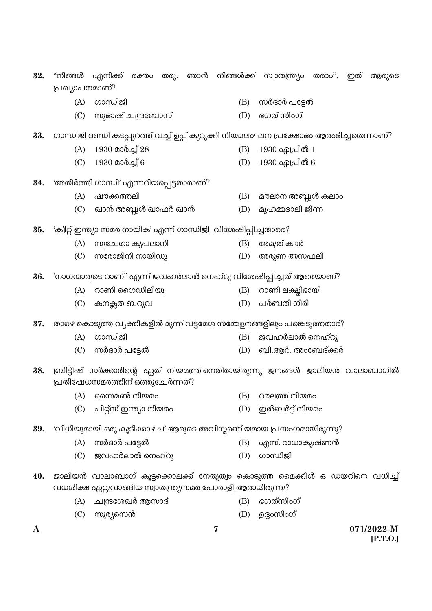| 32. | "നിങ്ങൾ        | എനിക്ക്                                                         |  |   |     | രക്തം തരൂ. ഞാൻ നിങ്ങൾക്ക് സ്വാതന്ത്ര്യം തരാം".                                       | ഇത് | ആരുടെ                  |
|-----|----------------|-----------------------------------------------------------------|--|---|-----|--------------------------------------------------------------------------------------|-----|------------------------|
|     | പ്രഖ്യാപനമാണ്? |                                                                 |  |   |     |                                                                                      |     |                        |
|     | (A)            | ഗാന്ധിജി                                                        |  |   | (B) | സർദാർ പട്ടേൽ                                                                         |     |                        |
|     | (C)            | സുഭാഷ് ചന്ദ്രബോസ്                                               |  |   | (D) | ഭഗത് സിംഗ്                                                                           |     |                        |
| 33. |                |                                                                 |  |   |     | ഗാന്ധിജി ദണ്ഡി കടപ്പുറത്ത് വച്ച് ഉപ്പ് കുറുക്കി നിയമലംഘന പ്രക്ഷോഭം ആരംഭിച്ചതെന്നാണ്? |     |                        |
|     | (A)            | 1930 മാർച്ച് 28                                                 |  |   | (B) | 1930 ഏപ്രിൽ 1                                                                        |     |                        |
|     | (C)            | $1930$ മാർച്ച് 6                                                |  |   | (D) | 1930 ഏപ്രിൽ 6                                                                        |     |                        |
| 34. |                | 'അതിർത്തി ഗാന്ധി' എന്നറിയപ്പെട്ടതാരാണ്?                         |  |   |     |                                                                                      |     |                        |
|     | (A)            | ഷൗക്കത്തലി                                                      |  |   | (B) | മൗലാന അബ്ദുൾ കലാം                                                                    |     |                        |
|     | (C)            | ഖാൻ അബ്ദുൾ ഖാഫർ ഖാൻ                                             |  |   | (D) | മുഹമ്മദാലി ജിന്ന                                                                     |     |                        |
| 35. |                | 'ക്വിറ്റ് ഇന്ത്യാ സമര നായിക' എന്ന് ഗാന്ധിജി  വിശേഷിപ്പിച്ചതാരെ? |  |   |     |                                                                                      |     |                        |
|     | (A)            | സുചേതാ കൃപലാനി                                                  |  |   | (B) | അമ്യത് കൗർ                                                                           |     |                        |
|     | (C)            | സരോജിനി നായിഡു                                                  |  |   | (D) | അരുണ അസഫലി                                                                           |     |                        |
| 36. |                |                                                                 |  |   |     | 'നാഗന്മാരുടെ റാണി' എന്ന് ജവഹർലാൽ നെഹ്റു വിശേഷിപ്പിച്ചത് ആരെയാണ്?                     |     |                        |
|     | (A)            | റാണി ഗൈഡിലിയു                                                   |  |   | (B) | റാണി ലക്ഷിഭായി                                                                       |     |                        |
|     | (C)            | കനക്സത ബറുവ                                                     |  |   | (D) | പർബതി ഗിരി                                                                           |     |                        |
| 37. |                |                                                                 |  |   |     | താഴെ കൊടുത്ത വ്യക്തികളിൽ മൂന്ന് വട്ടമേശ സമ്മേളനങ്ങളിലും പങ്കെടുത്തതാര്?              |     |                        |
|     | (A)            | ഗാന്ധിജി                                                        |  |   | (B) | ജവഹർലാൽ നെഹ്റു                                                                       |     |                        |
|     | (C)            | സർദാർ പട്ടേൽ                                                    |  |   | (D) | ബി.ആർ. അംബേദ്ക്കർ                                                                    |     |                        |
| 38. |                | പ്രതിഷേധസമരത്തിന് ഒത്തുചേർന്നത്?                                |  |   |     | ബ്രിട്ടീഷ് സർക്കാരിന്റെ ഏത് നിയമത്തിനെതിരായിരുന്നു ജനങ്ങൾ ജാലിയൻ വാലാബാഗിൽ           |     |                        |
|     | (A)            | സൈമൺ നിയമം                                                      |  |   | (B) | റൗലത്ത് നിയമം                                                                        |     |                        |
|     | (C)            | പിറ്റ്സ് ഇന്ത്യാ നിയമം                                          |  |   | (D) | ഇൽബർട്ട് നിയമം                                                                       |     |                        |
| 39. |                |                                                                 |  |   |     | 'വിധിയുമായി ഒരു കൂടിക്കാഴ്ച' ആരുടെ അവിസ്മരണീയമായ പ്രസംഗമായിരുന്നു?                   |     |                        |
|     | (A)            | സർദാർ പട്ടേൽ                                                    |  |   | (B) | എസ്. രാധാകൃഷ്ണൻ                                                                      |     |                        |
|     | (C)            | ജവഹർലാൽ നെഹ്റു                                                  |  |   | (D) | ഗാന്ധിജി                                                                             |     |                        |
| 40. |                | വധശിക്ഷ ഏറ്റുവാങ്ങിയ സ്വാതന്ത്ര്യസമര പോരാളി ആരായിരുന്നു?        |  |   |     | ജാലിയൻ വാലാബാഗ് കൂട്ടക്കൊലക്ക് നേതൃത്വം കൊടുത്ത മൈക്കിൾ ഒ ഡയറിനെ വധിച്ച്             |     |                        |
|     | (A)            | ചന്ദ്രശേഖർ ആസാദ്                                                |  |   | (B) | ഭഗത്സിംഗ്                                                                            |     |                        |
|     | (C)            | സൂര്യസെൻ                                                        |  |   | (D) | ഉദ്ദംസിംഗ്                                                                           |     |                        |
| A   |                |                                                                 |  | 7 |     |                                                                                      |     | 071/2022-M<br>[P.T.O.] |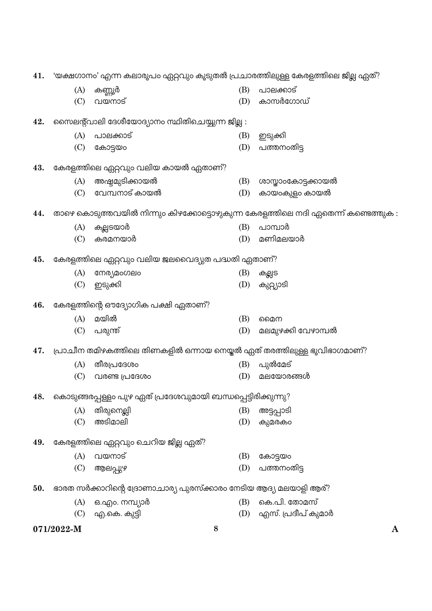| 41. | 'യക്ഷഗാനം' എന്ന കലാരൂപം ഏറ്റവും കൂടുതൽ പ്രചാരത്തിലുള്ള കേരളത്തിലെ ജില്ല ഏത്? |                                                                        |     |                                                                                 |  |  |
|-----|------------------------------------------------------------------------------|------------------------------------------------------------------------|-----|---------------------------------------------------------------------------------|--|--|
|     | (A)                                                                          | കണ്ണൂർ                                                                 | (B) | പാലക്കാട്                                                                       |  |  |
|     | (C)                                                                          | വയനാട്                                                                 | (D) | കാസർഗോഡ്                                                                        |  |  |
| 42. |                                                                              | സൈലന്റ്വാലി ദേശീയോദ്യാനം സ്ഥിതിചെയ്യുന്ന ജില്ല :                       |     |                                                                                 |  |  |
|     | (A)                                                                          | പാലക്കാട്                                                              | (B) | ഇടുക്കി                                                                         |  |  |
|     | (C)                                                                          | കോട്ടയം                                                                | (D) | പത്തനംതിട്ട                                                                     |  |  |
| 43. |                                                                              | കേരളത്തിലെ ഏറ്റവും വലിയ കായൽ ഏതാണ്?                                    |     |                                                                                 |  |  |
|     | (A)                                                                          | അഷ്ടമുടിക്കായൽ                                                         | (B) | ശാസ്താംകോട്ടക്കായൽ                                                              |  |  |
|     | (C)                                                                          | വേമ്പനാട് കായൽ                                                         | (D) | കായംകുളം കായൽ                                                                   |  |  |
| 44. |                                                                              |                                                                        |     | താഴെ കൊടുത്തവയിൽ നിന്നും കിഴക്കോട്ടൊഴുകുന്ന കേരളത്തിലെ നദി ഏതെന്ന് കണ്ടെത്തുക : |  |  |
|     | (A)                                                                          | കല്ലടയാർ                                                               | (B) | പാമ്പാർ                                                                         |  |  |
|     | (C)                                                                          | കരമനയാർ                                                                | (D) | മണിമലയാർ                                                                        |  |  |
| 45. |                                                                              | കേരളത്തിലെ ഏറ്റവും വലിയ ജലവൈദ്യുത പദ്ധതി ഏതാണ്?                        |     |                                                                                 |  |  |
|     | (A)                                                                          | നേര്യമംഗലം                                                             | (B) | കല്ലട                                                                           |  |  |
|     | (C)                                                                          | ഇടുക്കി                                                                | (D) | കുറ്റ്യാടി                                                                      |  |  |
| 46. |                                                                              | കേരളത്തിന്റെ ഔദ്യോഗിക പക്ഷി ഏതാണ്?                                     |     |                                                                                 |  |  |
|     | (A)                                                                          | മയിൽ                                                                   | (B) | മൈന                                                                             |  |  |
|     | (C)                                                                          | പരുന്ത്                                                                | (D) | മലമുഴക്കി വേഴാമ്പൽ                                                              |  |  |
| 47. |                                                                              | പ്രാചീന തമിഴകത്തിലെ തിണകളിൽ ഒന്നായ നെയ്തൽ ഏത് തരത്തിലുള്ള ഭൂവിഭാഗമാണ്? |     |                                                                                 |  |  |
|     | (A)                                                                          | തീരപ്രദേശം                                                             | (B) | പുൽമേട്                                                                         |  |  |
|     | (C)                                                                          | വരണ്ട പ്രദേശം                                                          | (D) | മലയോരങ്ങൾ                                                                       |  |  |
| 48. |                                                                              | കൊടുങ്ങരപ്പള്ളം പുഴ ഏത് പ്രദേശവുമായി ബന്ധപ്പെട്ടിരിക്കുന്നു?           |     |                                                                                 |  |  |
|     | (A)                                                                          | തിരുനെല്ലി                                                             | (B) | അട്ടപ്പാടി                                                                      |  |  |
|     | (C)                                                                          | അടിമാലി                                                                | (D) | കുമരകാ                                                                          |  |  |
| 49. |                                                                              | കേരളത്തിലെ ഏറ്റവും ചെറിയ ജില്ല ഏത്?                                    |     |                                                                                 |  |  |
|     | (A)                                                                          | വയനാട്                                                                 | (B) | കോട്ടയം                                                                         |  |  |
|     | (C)                                                                          | ആലപ്പുഴ                                                                | (D) | പത്തനംതിട്ട                                                                     |  |  |
| 50. |                                                                              | ഭാരത സർക്കാറിന്റെ ദ്രോണാചാര്യ പുരസ്ക്കാരം നേടിയ ആദ്യ മലയാളി ആര്?       |     |                                                                                 |  |  |
|     | (A)                                                                          | ഒ.എം. നമ്പ്യാർ                                                         | (B) | കെ.പി. തോമസ്                                                                    |  |  |
|     | (C)                                                                          | എ.കെ. കുട്ടി                                                           | (D) | എസ്. പ്രദീപ് കുമാർ                                                              |  |  |

 $\mathbf{A}$ 

 $\bf{8}$ 

071/2022-M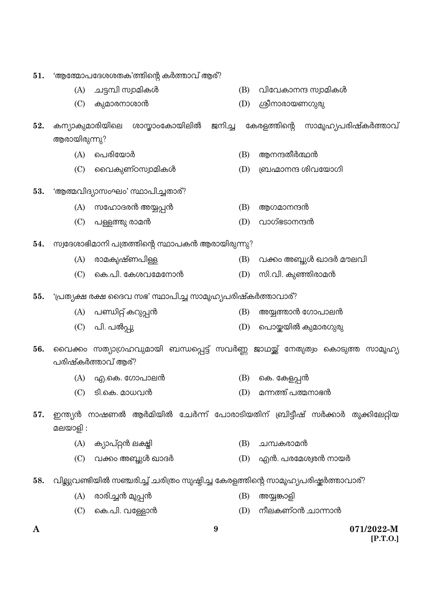| 51. | 'ആത്മോപദേശശതക'ത്തിന്റെ കർത്താവ് ആര്? |                                                           |                  |     |                                                                                  |
|-----|--------------------------------------|-----------------------------------------------------------|------------------|-----|----------------------------------------------------------------------------------|
|     | (A)                                  | ചട്ടമ്പി സ്വാമികൾ                                         |                  | (B) | വിവേകാനന്ദ സ്വാമികൾ                                                              |
|     | (C)                                  | കുമാരനാശാൻ                                                |                  | (D) | ശ്രീനാരായണഗുരു                                                                   |
| 52. | കന്യാകുമാരിയിലെ                      |                                                           |                  |     | ശാസ്താംകോയിലിൽ ജനിച്ച കേരളത്തിന്റെ സാമൂഹ്യപരിഷ്കർത്താവ്                          |
|     | ആരായിരുന്നു?                         |                                                           |                  |     |                                                                                  |
|     | (A)                                  | പെരിയോർ                                                   |                  | (B) | ആനന്ദതീർത്ഥൻ                                                                     |
|     | (C)                                  | വൈകുണ്ഠസ്വാമികൾ                                           |                  | (D) | ബ്രഹ്മാനന്ദ ശിവയോഗി                                                              |
| 53. |                                      | 'ആത്മവിദ്യാസംഘം' സ്ഥാപിച്ചതാര്?                           |                  |     |                                                                                  |
|     | (A)                                  | സഹോദരൻ അയ്യപ്പൻ                                           |                  | (B) | ആഗമാനന്ദൻ                                                                        |
|     | (C)                                  | പള്ളത്തു രാമൻ                                             |                  | (D) | വാഗ്ഭടാനന്ദൻ                                                                     |
| 54. |                                      | സ്വദേശാഭിമാനി പത്രത്തിന്റെ സ്ഥാപകൻ ആരായിരുന്നു?           |                  |     |                                                                                  |
|     | (A)                                  | രാമകൃഷ്ണപിള്ള                                             |                  | (B) | വക്കം അബ്ദുൾ ഖാദർ മൗലവി                                                          |
|     | (C)                                  | കെ.പി. കേശവമേനോൻ                                          |                  | (D) | സി.വി. കുഞ്ഞിരാമൻ                                                                |
| 55. |                                      | 'പ്രത്യക്ഷ രക്ഷ ദൈവ സഭ' സ്ഥാപിച്ച സാമൂഹ്യപരിഷ്കർത്താവാര്? |                  |     |                                                                                  |
|     | (A)                                  | പണ്ഡിറ്റ് കറുപ്പൻ                                         |                  | (B) | അയ്യത്താൻ ഗോപാലൻ                                                                 |
|     |                                      | (C) പി. പൽപ്പു                                            |                  | (D) | പൊയ്കയിൽ കുമാരഗുരു                                                               |
| 56. |                                      | പരിഷ്കർത്താവ് ആര്?                                        |                  |     | വൈക്കം സത്യാഗ്രഹവുമായി ബന്ധപ്പെട്ട് സവർണ്ണ ജാഥയ്ക്ക് നേതൃത്വം കൊടുത്ത സാമൂഹ്യ    |
|     | (A)                                  | എ.കെ. ഗോപാലൻ                                              |                  | (B) | കെ. കേളപ്പൻ                                                                      |
|     | (C)                                  | ടി.കെ. മാധവൻ                                              |                  | (D) | മന്നത്ത് പത്മനാഭൻ                                                                |
| 57. | മലയാളി :                             |                                                           |                  |     | ഇന്ത്യൻ നാഷണൽ ആർമിയിൽ ചേർന്ന് പോരാടിയതിന് ബ്രിട്ടീഷ് സർക്കാർ തൂക്കിലേറ്റിയ       |
|     |                                      | (A) ക്യാപ്റ്റൻ ലക്ഷ്ലി                                    |                  | (B) | ചമ്പകരാമൻ                                                                        |
|     | (C)                                  | വക്കം അബ്ദുൾ ഖാദർ                                         |                  | (D) | എൻ. പരമേശ്വരൻ നായർ                                                               |
| 58. |                                      |                                                           |                  |     | വില്ലുവണ്ടിയിൽ സഞ്ചരിച്ച് ചരിത്രം സൃഷ്ടിച്ച കേരളത്തിന്റെ സാമൂഹ്യപരിഷ്കർത്താവാര്? |
|     | (A)                                  | രാരിച്ചൻ മൂപ്പൻ                                           |                  | (B) | അയ്യങ്കാളി                                                                       |
|     |                                      | $(C)$ കെ.പി. വള്ളോൻ                                       |                  | (D) | നീലകണ്ഠൻ ചാന്നാൻ                                                                 |
| A   |                                      |                                                           | $\boldsymbol{9}$ |     | 071/2022-M<br>[P.T.O.]                                                           |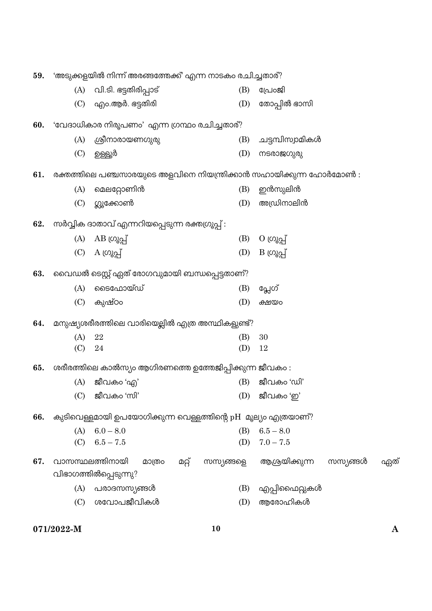| 'അടുക്കളയിൽ നിന്ന് അരങ്ങന്തേക്ക്' എന്ന നാടകം രചിച്ചതാര്?<br>59. |                                              |                                                                    |           |                                    |  |  |  |  |  |  |
|-----------------------------------------------------------------|----------------------------------------------|--------------------------------------------------------------------|-----------|------------------------------------|--|--|--|--|--|--|
|                                                                 | (A)                                          | വി.ടി. ഭട്ടതിരിപ്പാട്                                              | (B)       | പ്രേറജി                            |  |  |  |  |  |  |
|                                                                 |                                              | $(C)$ എം.ആർ. ഭട്ടതിരി                                              | (D)       | തോപ്പിൽ ഭാസി                       |  |  |  |  |  |  |
| 60.                                                             | 'വേദാധികാര നിരൂപണം' എന്ന ഗ്രന്ഥം രചിച്ചതാര്? |                                                                    |           |                                    |  |  |  |  |  |  |
|                                                                 | (A)                                          | ശ്രീനാരായണഗുരു                                                     | (B)       | ചട്ടമ്പിസ്വാമികൾ                   |  |  |  |  |  |  |
|                                                                 | (C)                                          | ഉള്ളൂർ                                                             | (D)       | നടരാജഗുരു                          |  |  |  |  |  |  |
| 61.                                                             |                                              | രക്തത്തിലെ പഞ്ചസാരയുടെ അളവിനെ നിയന്ത്രിക്കാൻ സഹായിക്കുന്ന ഹോർമോൺ : |           |                                    |  |  |  |  |  |  |
|                                                                 | (A)                                          | മെലറ്റോണിൻ                                                         | (B)       | ഇൻസുലിൻ                            |  |  |  |  |  |  |
|                                                                 | (C)                                          | ഗ്ലൂക്കോൺ                                                          | (D)       | അഡ്രിനാലിൻ                         |  |  |  |  |  |  |
| 62.                                                             |                                              | സർവ്വിക ദാതാവ് എന്നറിയപ്പെടുന്ന രക്തഗ്രൂപ്പ് :                     |           |                                    |  |  |  |  |  |  |
|                                                                 |                                              | (A) $AB \left[\omega_{\alpha}A\right]$                             | (B)       | $O \left( \omega_{\delta} \right)$ |  |  |  |  |  |  |
|                                                                 |                                              | (C) $A \left[\begin{array}{cc} O & \Omega \end{array}\right]$      | (D)       | $B \omega$ റ്റ്വ്                  |  |  |  |  |  |  |
| 63.                                                             | വൈഡൽ ടെസ്റ്റ് ഏത് രോഗവുമായി ബന്ധപ്പെട്ടതാണ്? |                                                                    |           |                                    |  |  |  |  |  |  |
|                                                                 | (A)                                          | ടൈഫോയ്ഡ്                                                           | (B)       | പ്ലേഗ്                             |  |  |  |  |  |  |
|                                                                 | (C)                                          | കുഷ്ഠം                                                             | (D)       | ക്ഷയം                              |  |  |  |  |  |  |
| 64.                                                             |                                              | മനുഷ്യശരീരത്തിലെ വാരിയെല്ലിൽ എത്ര അസ്ഥികളുണ്ട്?                    |           |                                    |  |  |  |  |  |  |
|                                                                 | (A)                                          | 22                                                                 | (B)       | 30                                 |  |  |  |  |  |  |
|                                                                 | (C)                                          | 24                                                                 | (D)       | 12                                 |  |  |  |  |  |  |
| 65.                                                             |                                              | ശരീരത്തിലെ കാൽസ്യം ആഗിരണത്തെ ഉത്തേജിപ്പിക്കുന്ന ജീവകം :            |           |                                    |  |  |  |  |  |  |
|                                                                 |                                              | $(A)$ ജീവകം 'എ'                                                    | (B)       | ജീവകം 'ഡി'                         |  |  |  |  |  |  |
|                                                                 |                                              | $(C)$ ജീവകം 'സി'                                                   |           | (D) ജീവകം $\omega$ 'ഇ'             |  |  |  |  |  |  |
| 66.                                                             |                                              | കുടിവെള്ളമായി ഉപയോഗിക്കുന്ന വെള്ളത്തിന്റെ pH മൂല്യം എത്രയാണ്?      |           |                                    |  |  |  |  |  |  |
|                                                                 | (A)                                          | $6.0 - 8.0$                                                        | (B)       | $6.5 - 8.0$                        |  |  |  |  |  |  |
|                                                                 | (C)                                          | $6.5 - 7.5$                                                        | (D)       | $7.0 - 7.5$                        |  |  |  |  |  |  |
| 67.                                                             |                                              | വാസസ്ഥലത്തിനായി<br>മറ്റ്<br>മാത്രം                                 | സസ്യങ്ങളെ | ആശ്രയിക്കുന്ന<br>സസ്യങ്ങൾ<br>ഏത്   |  |  |  |  |  |  |
|                                                                 |                                              | വിഭാഗത്തിൽപ്പെടുന്നു?                                              |           |                                    |  |  |  |  |  |  |
|                                                                 | (A)                                          | പരാദസസ്യങ്ങൾ                                                       | (B)       | എപ്പിഫൈറ്റുകൾ                      |  |  |  |  |  |  |
|                                                                 | (C)                                          | ശവോപജീവികൾ                                                         | (D)       | ആരോഹികൾ                            |  |  |  |  |  |  |

071/2022-M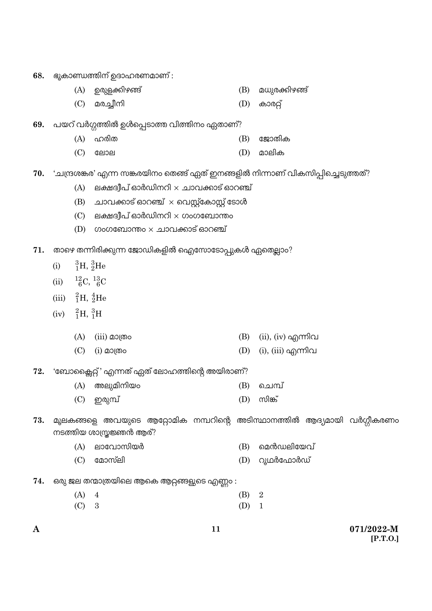- ഭൂകാണ്ഡത്തിന് ഉദാഹരണമാണ് : 68.
	- (A) ഉരുളക്കിഴങ്ങ് (B) മധുരക്കിഴങ്ങ്
	- (C) മരച്ചീനി  $(D)$  കാരറ്റ്
- പയറ് വർഗ്ഗത്തിൽ ഉൾപ്പെടാത്ത വിത്തിനം ഏതാണ്? 69.
	- $(A)$  ഹരിത  $(B)$ ജോതിക
	- $(C)$ ലോല  $(D)$ മാലിക
- 'ചന്ദ്രശങ്കര' എന്ന സങ്കരയിനം തെങ്ങ് ഏത് ഇനങ്ങളിൽ നിന്നാണ് വികസിപ്പിച്ചെടുത്തത്? 70.
	- $(A)$  ലക്ഷദ്വീപ് ഓർഡിനറി $\times$  ചാവക്കാട് ഓറഞ്ച്
	- $(B)$  ചാവക്കാട് ഓറഞ്ച്  $\times$  വെസ്റ്റ്കോസ്റ്റ് ടോൾ
	- $(C)$  ലക്ഷദീപ് ഓർഡിനറി  $\times$  ഗംഗബോന്തം
	- (D) ഗംഗബോന്തം  $\times$  ചാവക്കാട് ഓറഞ്ച്
- താഴെ തന്നിരിക്കുന്ന ജോഡികളിൽ ഐസോടോപ്പുകൾ ഏതെല്ലാം? 71.
	- ${}^{3}_{1}H, {}^{3}_{2}He$  $(i)$
	- $^{12}_{6}C,~^{13}_{6}C$  $(ii)$
	- (iii)  ${}^{2}_{1}H, {}^{4}_{2}He$
	- (iv)  ${}^{2}_{1}H, {}^{3}_{1}H$ 
		- (A)  $(iii)$  മാത്രം (B)  $(ii)$ ,  $(iv)$  എന്നിവ  $(C)$  (i) മാത്രം (D) (i), (iii) എന്നിവ
- 'ബോക്സൈറ്റ്' എന്നത് ഏത് ലോഹത്തിന്റെ അയിരാണ്? 72.
	- $(A)$  അലുമിനിയം  $(B)$ ചെമ്പ്
	- സിങ്ക്  $(C)$  ഇരുമ്പ് (D)
- മൂലകങ്ങളെ അവയുടെ ആറ്റോമിക നമ്പറിന്റെ അടിസ്ഥാനത്തിൽ ആദ്യമായി വർഗ്ഗീകരണം 73. നടത്തിയ ശാസ്ത്രജ്ഞൻ ആര്?
	- $(A)$  ലാവോസിയർ (B) മെൻഡലിയേവ്
	- $(C)$ മോസ്ലി (D) റുഥർഫോർഡ്
- ഒരു ജല തന്മാത്രയിലെ ആകെ ആറ്റങ്ങളുടെ എണ്ണം : 74.

| $(A)$ 4 | (B) 2   |  |
|---------|---------|--|
| $(C)$ 3 | $(D)$ 1 |  |

11

071/2022-M  $[P.T.0.]$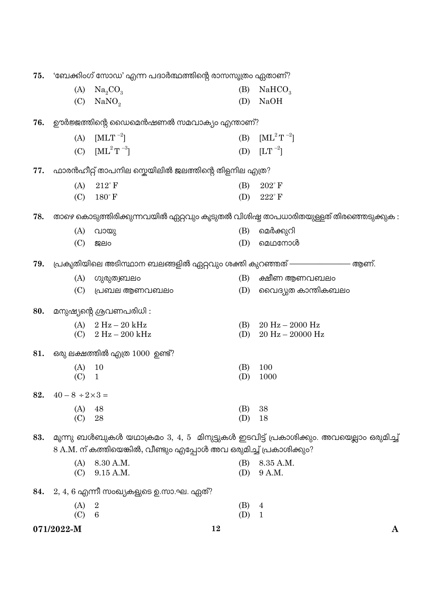| 75. | 'ബേക്കിംഗ് സോഡ' എന്ന പദാർത്ഥത്തിന്റെ രാസസൂത്രം ഏതാണ്? |                                                                   |     |                                                                                       |  |  |
|-----|-------------------------------------------------------|-------------------------------------------------------------------|-----|---------------------------------------------------------------------------------------|--|--|
|     | (A)                                                   | Na <sub>2</sub> CO <sub>3</sub>                                   | (B) | NaHCO <sub>3</sub>                                                                    |  |  |
|     | (C)                                                   | NaNO <sub>2</sub>                                                 | (D) | <b>NaOH</b>                                                                           |  |  |
| 76. |                                                       | ഊർജ്ജത്തിന്റെ ഡൈമെൻഷണൽ സമവാക്യം എന്താണ്?                          |     |                                                                                       |  |  |
|     | (A)                                                   | $[MLT^{-2}]$                                                      | (B) | $[ML^2T^{-2}]$                                                                        |  |  |
|     | (C)                                                   | $\mathrm{[ML}^2\mathrm{T}^{-3}]$                                  | (D) | $[LT^{-2}]$                                                                           |  |  |
| 77. |                                                       | ഫാരൻഹീറ്റ് താപനില സ്കെയിലിൽ ജലത്തിന്റെ തിളനില എത്ര?               |     |                                                                                       |  |  |
|     | (A)                                                   | $212^{\circ}$ F                                                   | (B) | $202^{\circ}$ F                                                                       |  |  |
|     | (C)                                                   | $180^\circ$ F                                                     | (D) | $222^{\circ}$ F                                                                       |  |  |
| 78. |                                                       |                                                                   |     | താഴെ കൊടുത്തിരിക്കുന്നവയിൽ ഏറ്റവും കൂടുതൽ വിശിഷ്ട താപധാരിതയുള്ളത് തിരഞ്ഞെടുക്കുക :    |  |  |
|     | (A)                                                   | വായു                                                              | (B) | മെർക്കുറി                                                                             |  |  |
|     | (C)                                                   | 贸elo                                                              | (D) | മെഥനോൾ                                                                                |  |  |
| 79. |                                                       | പ്രകൃതിയിലെ അടിസ്ഥാന ബലങ്ങളിൽ ഏറ്റവും ശക്തി കുറഞ്ഞത് ————————     |     | – ആണ്.                                                                                |  |  |
|     | (A)                                                   | ഗുരുത്വബലം                                                        | (B) | ക്ഷീണ ആണവബലം                                                                          |  |  |
|     | (C)                                                   | പ്രബല ആണവബലം                                                      | (D) | വൈദ്യുത കാന്തികബലം                                                                    |  |  |
| 80. |                                                       | മനുഷ്യന്റെ ശ്രവണപരിധി:                                            |     |                                                                                       |  |  |
|     |                                                       | (A) $2 Hz - 20 kHz$                                               | (B) | $20 \text{ Hz} - 2000 \text{ Hz}$                                                     |  |  |
|     | (C)                                                   | $2 Hz - 200 kHz$                                                  | (D) | $20 \text{ Hz} - 20000 \text{ Hz}$                                                    |  |  |
| 81. |                                                       | ഒരു ലക്ഷത്തിൽ എത്ര 1000 ഉണ്ട്?                                    |     |                                                                                       |  |  |
|     | (A)                                                   | 10                                                                | (B) | 100                                                                                   |  |  |
|     | (C)                                                   | $\mathbf{1}$                                                      | (D) | 1000                                                                                  |  |  |
| 82. | $40 - 8 \div 2 \times 3 =$                            |                                                                   |     |                                                                                       |  |  |
|     | (A)                                                   | 48                                                                | (B) | 38                                                                                    |  |  |
|     | (C)                                                   | 28                                                                | (D) | 18                                                                                    |  |  |
| 83. |                                                       | 8 A.M. ന് കത്തിയെങ്കിൽ, വീണ്ടും എപ്പോൾ അവ ഒരുമിച്ച് പ്രകാശിക്കും? |     | മൂന്നു ബൾബുകൾ യഥാക്രമം 3, 4, 5  മിനുട്ടുകൾ ഇടവിട്ട് പ്രകാശിക്കും. അവയെല്ലാം ഒരുമിച്ച് |  |  |
|     | (A)                                                   | 8.30 A.M.                                                         | (B) | 8.35 A.M.                                                                             |  |  |
|     | (C)                                                   | 9.15 A.M.                                                         | (D) | 9 A.M.                                                                                |  |  |
| 84. |                                                       | $2, 4, 6$ എന്നീ സംഖ്യകളുടെ ഉ.സാ.ഘ. ഏത്?                           |     |                                                                                       |  |  |
|     | (A)                                                   | $\overline{2}$                                                    | (B) | $\overline{4}$                                                                        |  |  |
|     | (C)                                                   | 6                                                                 | (D) | $\mathbf{1}$                                                                          |  |  |
|     | 071/2022-M                                            |                                                                   | 12  | A                                                                                     |  |  |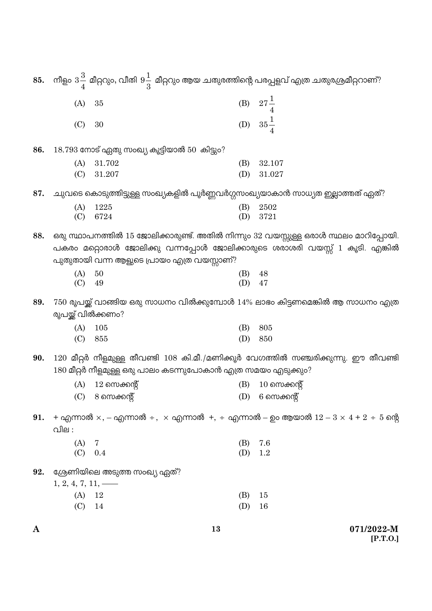| A   |                        |                                                              | 13         | 071/2022-M                                                                                                 |
|-----|------------------------|--------------------------------------------------------------|------------|------------------------------------------------------------------------------------------------------------|
|     | (C)                    | 14                                                           | (D)        | 16                                                                                                         |
|     | (A)                    | $12\,$                                                       | (B)        | 15                                                                                                         |
|     | $1, 2, 4, 7, 11, \_\_$ |                                                              |            |                                                                                                            |
| 92. |                        | ശ്രേണിയിലെ അടുത്ത സംഖ്യ ഏത്?                                 |            |                                                                                                            |
|     | (C)                    | 0.4                                                          | (D)        | 1.2                                                                                                        |
|     | (A)                    | 7                                                            | (B)        | 7.6                                                                                                        |
|     | വില :                  |                                                              |            |                                                                                                            |
| 91. |                        |                                                              |            | + എന്നാൽ $\times$ , - എന്നാൽ ÷, $\times$ എന്നാൽ +, ÷ എന്നാൽ - ഉം ആയാൽ $12-3 \times 4+2 \div 5$ ന്റെ        |
|     |                        | $(C)$ 8 സെക്കന്റ്                                            |            | $(D)$ 6 സെക്കന്റ്                                                                                          |
|     | (A)                    | $12$ സെക്കന്റ്                                               | (B)        | $10 \text{ }\mathrm{m}$ ക്കന്റ്                                                                            |
|     |                        | 180 മീറ്റർ നീളമുള്ള ഒരു പാലം കടന്നുപോകാൻ എത്ര സമയം എടുക്കും? |            |                                                                                                            |
| 90. |                        |                                                              |            | $120$ മീറ്റർ നീളമുള്ള തീവണ്ടി $108$ കി.മീ./മണിക്കൂർ വേഗത്തിൽ സഞ്ചരിക്കുന്നു. ഈ തീവണ്ടി                     |
|     |                        |                                                              |            |                                                                                                            |
|     | (C)                    | 855                                                          | (D)        | 850                                                                                                        |
|     | (A)                    | 105                                                          | (B)        | 805                                                                                                        |
|     | രൂപയ്ക്ക് വിൽക്കണം?    |                                                              |            |                                                                                                            |
| 89. |                        |                                                              |            | $750$ രൂപയ്ക്ക് വാങ്ങിയ ഒരു സാധനം വിൽക്കുമ്പോൾ $14\%$ ലാഭം കിട്ടണമെങ്കിൽ ആ സാധനം എത്ര                      |
|     | (C)                    | 49                                                           | (D)        | 47                                                                                                         |
|     | (A)                    | 50                                                           | (B)        | 48                                                                                                         |
|     |                        | പുതുതായി വന്ന ആളുടെ പ്രായം എത്ര വയസ്സാണ്?                    |            | പകരം മറ്റൊരാൾ ജോലിക്കു വന്നപ്പോൾ ജോലിക്കാരുടെ ശരാശരി വയസ്സ് 1 കൂടി. എങ്കിൽ                                 |
| 88. |                        |                                                              |            | ഒരു സ്ഥാപനത്തിൽ 15 ജോലിക്കാരുണ്ട്. അതിൽ നിന്നും 32 വയസ്സുള്ള ഒരാൾ സ്ഥലം മാറിപ്പോയി.                        |
|     |                        |                                                              |            |                                                                                                            |
|     | (A)<br>(C)             | 1225<br>6724                                                 | (B)<br>(D) | 2502<br>3721                                                                                               |
| 87. |                        |                                                              |            | ചുവടെ കൊടുത്തിട്ടുള്ള സംഖ്യകളിൽ പൂർണ്ണവർഗ്ഗസംഖ്യയാകാൻ സാധ്യത ഇല്ലാത്തത് ഏത്?                               |
|     |                        |                                                              |            |                                                                                                            |
|     | (C)                    | 31.207                                                       | (D)        | 31.027                                                                                                     |
|     | (A)                    | $18.793$ നോട് ഏതു സംഖ്യ കൂട്ടിയാൽ $50\,$ കിട്ടും?<br>31.702  | (B)        | 32.107                                                                                                     |
| 86. |                        |                                                              |            |                                                                                                            |
|     | (C)                    | 30                                                           |            |                                                                                                            |
|     |                        |                                                              |            | (B) $27\frac{1}{4}$<br>(D) $35\frac{1}{4}$                                                                 |
|     | (A)                    | $35\,$                                                       |            |                                                                                                            |
| 85. |                        |                                                              |            | നീളം $3\frac{3}{4}$ മീറ്ററും, വീതി $9\frac{1}{3}$ മീറ്ററും ആയ ചതുരത്തിന്റെ പരപ്പളവ് എത്ര ചതുരശ്രമീറ്ററാണ്? |
|     |                        |                                                              |            |                                                                                                            |

 $[P.T.O.]$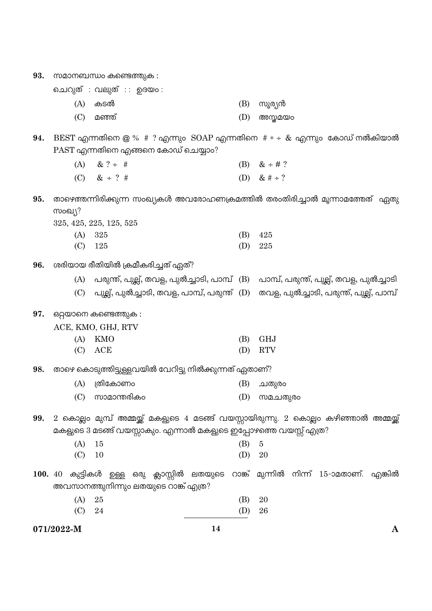| 93. | സമാനബന്ധം കണ്ടെത്തുക : |                                                                                         |  |  |     |                  |  |  |
|-----|------------------------|-----------------------------------------------------------------------------------------|--|--|-----|------------------|--|--|
|     |                        | ചെറുത് : വലുത് :: ഉദയം:                                                                 |  |  |     |                  |  |  |
|     | (A)                    | കടൽ                                                                                     |  |  | (B) | സൂര്യൻ           |  |  |
|     | (C)                    | മഞ്ഞ്                                                                                   |  |  | (D) | അസ്തമയം          |  |  |
| 94. |                        |                                                                                         |  |  |     |                  |  |  |
|     |                        | PAST എന്നതിനെ എങ്ങനെ കോഡ് ചെയ്യാം?                                                      |  |  |     |                  |  |  |
|     | (A)                    | $& ? \div \#$                                                                           |  |  |     | (B) $& 4 \neq ?$ |  |  |
|     |                        | (C) & $\div$ ? #                                                                        |  |  |     | (D) & # ÷ ?      |  |  |
| 95. |                        | താഴെത്തന്നിരിക്കുന്ന സംഖ്യകൾ അവരോഹണക്രമത്തിൽ തരംതിരിച്ചാൽ മൂന്നാമത്തേത്  ഏതു            |  |  |     |                  |  |  |
|     | സംഖ്യ?                 |                                                                                         |  |  |     |                  |  |  |
|     |                        | 325, 425, 225, 125, 525                                                                 |  |  |     |                  |  |  |
|     | (A)                    | 325                                                                                     |  |  | (B) | 425              |  |  |
|     | (C)                    | 125                                                                                     |  |  | (D) | 225              |  |  |
| 96. |                        | ശരിയായ രീതിയിൽ ക്രമീകരിച്ചത് ഏത്?                                                       |  |  |     |                  |  |  |
|     |                        | (A) പരുന്ത്, പുല്ല്, തവള, പുൽച്ചാടി, പാമ്പ് (B) പാമ്പ്, പരുന്ത്, പുല്ല്, തവള, പുൽച്ചാടി |  |  |     |                  |  |  |
|     |                        | (C) പുല്ല്, പുൽച്ചാടി, തവള, പാമ്പ്, പരുന്ത് (D) തവള, പുൽച്ചാടി, പരുന്ത്, പുല്ല്, പാമ്പ് |  |  |     |                  |  |  |
| 97. |                        | ഒറ്റയാനെ കണ്ടെത്തുക :                                                                   |  |  |     |                  |  |  |
|     |                        | ACE, KMO, GHJ, RTV                                                                      |  |  |     |                  |  |  |
|     | (A)                    | KMO                                                                                     |  |  | (B) | <b>GHJ</b>       |  |  |
|     | (C)                    | ACE                                                                                     |  |  | (D) | <b>RTV</b>       |  |  |
| 98. |                        | താഴെ കൊടുത്തിട്ടുള്ളവയിൽ വേറിട്ടു നിൽക്കുന്നത് ഏതാണ്?                                   |  |  |     |                  |  |  |
|     | (A)                    | ത്രികോണം                                                                                |  |  | (B) | ചതുരം            |  |  |
|     |                        | (C) സാമാന്തരികം                                                                         |  |  |     | (D) സമചതുരം      |  |  |
| 99. |                        | 2 കൊല്ലം മുമ്പ് അമ്മയ്ക്ക് മകളുടെ 4 മടങ്ങ് വയസ്സായിരുന്നു. 2 കൊല്ലം കഴിഞ്ഞാൽ അമ്മയ്ക്ക് |  |  |     |                  |  |  |
|     |                        | മകളുടെ 3 മടങ്ങ് വയസ്സാകും. എന്നാൽ മകളുടെ ഇപ്പോഴത്തെ വയസ്സ് എത്ര?                        |  |  |     |                  |  |  |
|     | (A)                    | 15                                                                                      |  |  | (B) | $\overline{5}$   |  |  |
|     | (C)                    | 10                                                                                      |  |  | (D) | 20               |  |  |
|     |                        | 100. 40 കുട്ടികൾ ഉള്ള ഒരു ക്ലാസ്സിൽ ലതയുടെ റാങ്ക് മുന്നിൽ നിന്ന് 15-ാമതാണ്. എങ്കിൽ      |  |  |     |                  |  |  |
|     |                        | അവസാനത്തുനിന്നും ലതയുടെ റാങ്ക് എത്ര?                                                    |  |  |     |                  |  |  |
|     | (A)                    | 25                                                                                      |  |  | (B) | 20               |  |  |
|     | (C)                    | 24                                                                                      |  |  | (D) | 26               |  |  |

 $14$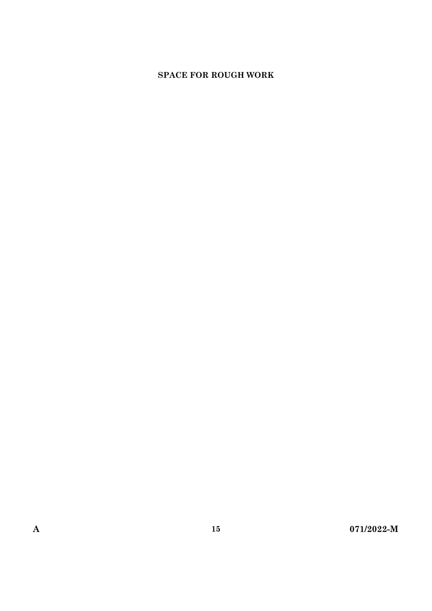## **SPACE FOR ROUGH WORK**